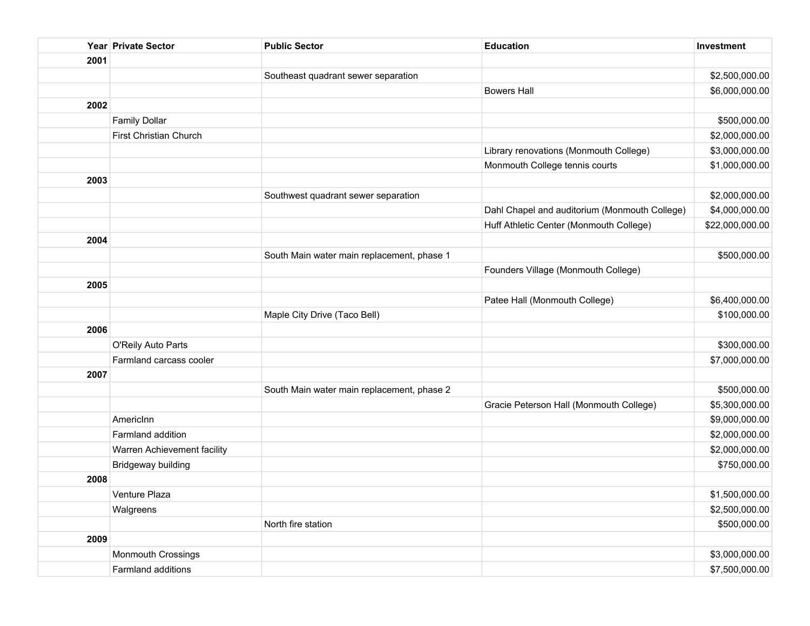|      | Year Private Sector           | <b>Public Sector</b>                       | <b>Education</b>                              | Investment      |
|------|-------------------------------|--------------------------------------------|-----------------------------------------------|-----------------|
| 2001 |                               |                                            |                                               |                 |
|      |                               | Southeast quadrant sewer separation        |                                               | \$2,500,000.00  |
|      |                               |                                            | <b>Bowers Hall</b>                            | \$6,000,000.00  |
| 2002 |                               |                                            |                                               |                 |
|      | <b>Family Dollar</b>          |                                            |                                               | \$500,000.00    |
|      | <b>First Christian Church</b> |                                            |                                               | \$2,000,000.00  |
|      |                               |                                            | Library renovations (Monmouth College)        | \$3,000,000.00  |
|      |                               |                                            | Monmouth College tennis courts                | \$1,000,000.00  |
| 2003 |                               |                                            |                                               |                 |
|      |                               | Southwest quadrant sewer separation        |                                               | \$2,000,000.00  |
|      |                               |                                            | Dahl Chapel and auditorium (Monmouth College) | \$4,000,000.00  |
|      |                               |                                            | Huff Athletic Center (Monmouth College)       | \$22,000,000.00 |
| 2004 |                               |                                            |                                               |                 |
|      |                               | South Main water main replacement, phase 1 |                                               | \$500,000.00    |
|      |                               |                                            | Founders Village (Monmouth College)           |                 |
| 2005 |                               |                                            |                                               |                 |
|      |                               |                                            | Patee Hall (Monmouth College)                 | \$6,400,000.00  |
|      |                               | Maple City Drive (Taco Bell)               |                                               | \$100,000.00    |
| 2006 |                               |                                            |                                               |                 |
|      | O'Reily Auto Parts            |                                            |                                               | \$300,000.00    |
|      | Farmland carcass cooler       |                                            |                                               | \$7,000,000.00  |
| 2007 |                               |                                            |                                               |                 |
|      |                               | South Main water main replacement, phase 2 |                                               | \$500,000.00    |
|      |                               |                                            | Gracie Peterson Hall (Monmouth College)       | \$5,300,000.00  |
|      | AmericInn                     |                                            |                                               | \$9,000,000.00  |
|      | Farmland addition             |                                            |                                               | \$2,000,000.00  |
|      | Warren Achievement facility   |                                            |                                               | \$2,000,000.00  |
|      | Bridgeway building            |                                            |                                               | \$750,000.00    |
| 2008 |                               |                                            |                                               |                 |
|      | Venture Plaza                 |                                            |                                               | \$1,500,000.00  |
|      | Walgreens                     |                                            |                                               | \$2,500,000.00  |
|      |                               | North fire station                         |                                               | \$500,000.00    |
| 2009 |                               |                                            |                                               |                 |
|      | <b>Monmouth Crossings</b>     |                                            |                                               | \$3,000,000.00  |
|      | Farmland additions            |                                            |                                               | \$7,500,000.00  |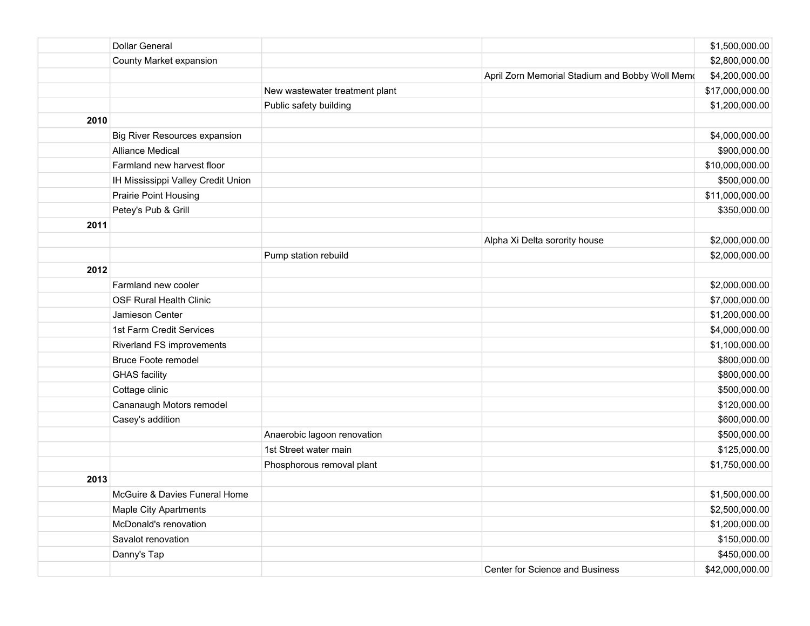|      | <b>Dollar General</b>                |                                | \$1,500,000.00                                                    |
|------|--------------------------------------|--------------------------------|-------------------------------------------------------------------|
|      | County Market expansion              |                                | \$2,800,000.00                                                    |
|      |                                      |                                | April Zorn Memorial Stadium and Bobby Woll Memo<br>\$4,200,000.00 |
|      |                                      | New wastewater treatment plant | \$17,000,000.00                                                   |
|      |                                      | Public safety building         | \$1,200,000.00                                                    |
| 2010 |                                      |                                |                                                                   |
|      | <b>Big River Resources expansion</b> |                                | \$4,000,000.00                                                    |
|      | <b>Alliance Medical</b>              |                                | \$900,000.00                                                      |
|      | Farmland new harvest floor           |                                | \$10,000,000.00                                                   |
|      | IH Mississippi Valley Credit Union   |                                | \$500,000.00                                                      |
|      | Prairie Point Housing                |                                | \$11,000,000.00                                                   |
|      | Petey's Pub & Grill                  |                                | \$350,000.00                                                      |
| 2011 |                                      |                                |                                                                   |
|      |                                      | Alpha Xi Delta sorority house  | \$2,000,000.00                                                    |
|      |                                      | Pump station rebuild           | \$2,000,000.00                                                    |
| 2012 |                                      |                                |                                                                   |
|      | Farmland new cooler                  |                                | \$2,000,000.00                                                    |
|      | <b>OSF Rural Health Clinic</b>       |                                | \$7,000,000.00                                                    |
|      | Jamieson Center                      |                                | \$1,200,000.00                                                    |
|      | 1st Farm Credit Services             |                                | \$4,000,000.00                                                    |
|      | Riverland FS improvements            |                                | \$1,100,000.00                                                    |
|      | <b>Bruce Foote remodel</b>           |                                | \$800,000.00                                                      |
|      | <b>GHAS</b> facility                 |                                | \$800,000.00                                                      |
|      | Cottage clinic                       |                                | \$500,000.00                                                      |
|      | Cananaugh Motors remodel             |                                | \$120,000.00                                                      |
|      | Casey's addition                     |                                | \$600,000.00                                                      |
|      |                                      | Anaerobic lagoon renovation    | \$500,000.00                                                      |
|      |                                      | 1st Street water main          | \$125,000.00                                                      |
|      |                                      | Phosphorous removal plant      | \$1,750,000.00                                                    |
| 2013 |                                      |                                |                                                                   |
|      | McGuire & Davies Funeral Home        |                                | \$1,500,000.00                                                    |
|      | <b>Maple City Apartments</b>         |                                | \$2,500,000.00                                                    |
|      | McDonald's renovation                |                                | \$1,200,000.00                                                    |
|      | Savalot renovation                   |                                | \$150,000.00                                                      |
|      | Danny's Tap                          |                                | \$450,000.00                                                      |
|      |                                      |                                | Center for Science and Business<br>\$42,000,000.00                |